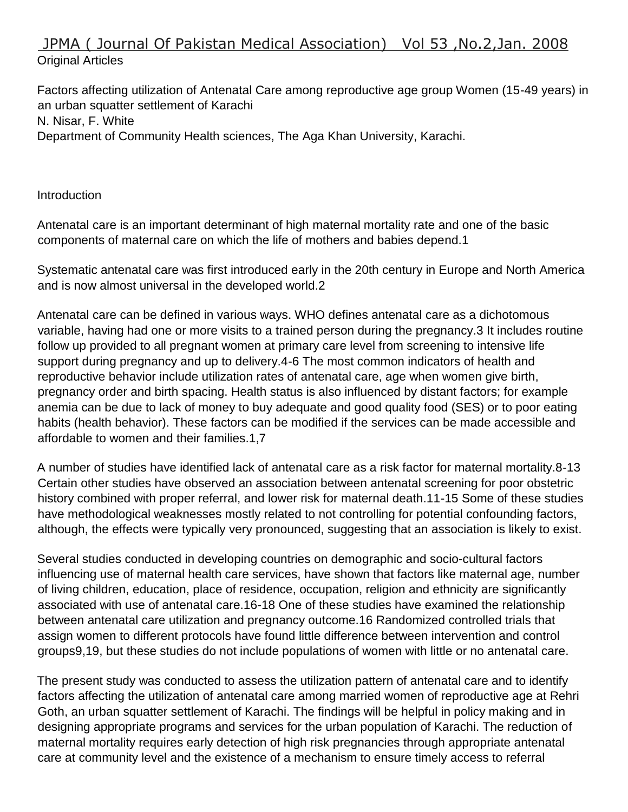# JPMA ( Journal Of Pakistan Medical Association) Vol 53 ,No.2,Jan. 2008 Original Articles

Factors affecting utilization of Antenatal Care among reproductive age group Women (15-49 years) in an urban squatter settlement of Karachi N. Nisar, F. White Department of Community Health sciences, The Aga Khan University, Karachi.

**Introduction** 

Antenatal care is an important determinant of high maternal mortality rate and one of the basic components of maternal care on which the life of mothers and babies depend.1

Systematic antenatal care was first introduced early in the 20th century in Europe and North America and is now almost universal in the developed world.2

Antenatal care can be defined in various ways. WHO defines antenatal care as a dichotomous variable, having had one or more visits to a trained person during the pregnancy.3 It includes routine follow up provided to all pregnant women at primary care level from screening to intensive life support during pregnancy and up to delivery.4-6 The most common indicators of health and reproductive behavior include utilization rates of antenatal care, age when women give birth, pregnancy order and birth spacing. Health status is also influenced by distant factors; for example anemia can be due to lack of money to buy adequate and good quality food (SES) or to poor eating habits (health behavior). These factors can be modified if the services can be made accessible and affordable to women and their families.1,7

A number of studies have identified lack of antenatal care as a risk factor for maternal mortality.8-13 Certain other studies have observed an association between antenatal screening for poor obstetric history combined with proper referral, and lower risk for maternal death.11-15 Some of these studies have methodological weaknesses mostly related to not controlling for potential confounding factors, although, the effects were typically very pronounced, suggesting that an association is likely to exist.

Several studies conducted in developing countries on demographic and socio-cultural factors influencing use of maternal health care services, have shown that factors like maternal age, number of living children, education, place of residence, occupation, religion and ethnicity are significantly associated with use of antenatal care.16-18 One of these studies have examined the relationship between antenatal care utilization and pregnancy outcome.16 Randomized controlled trials that assign women to different protocols have found little difference between intervention and control groups9,19, but these studies do not include populations of women with little or no antenatal care.

The present study was conducted to assess the utilization pattern of antenatal care and to identify factors affecting the utilization of antenatal care among married women of reproductive age at Rehri Goth, an urban squatter settlement of Karachi. The findings will be helpful in policy making and in designing appropriate programs and services for the urban population of Karachi. The reduction of maternal mortality requires early detection of high risk pregnancies through appropriate antenatal care at community level and the existence of a mechanism to ensure timely access to referral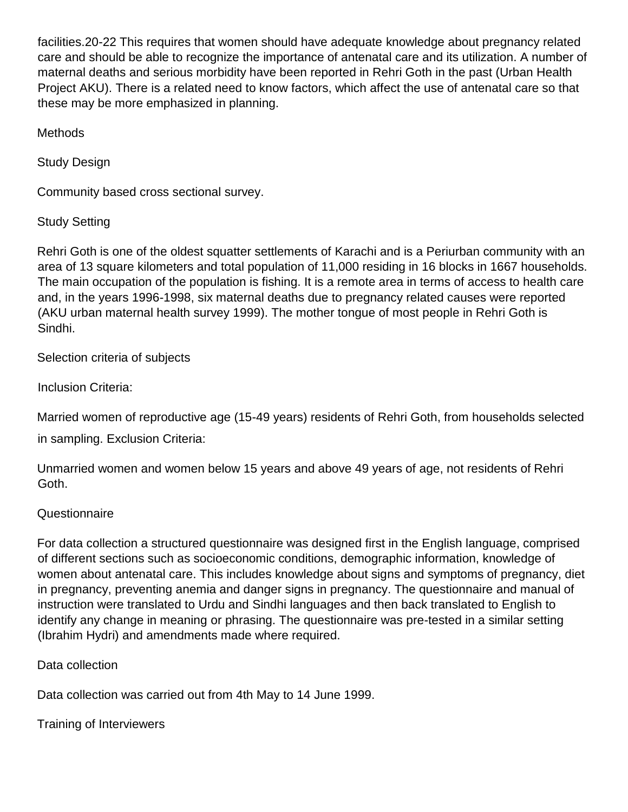facilities.20-22 This requires that women should have adequate knowledge about pregnancy related care and should be able to recognize the importance of antenatal care and its utilization. A number of maternal deaths and serious morbidity have been reported in Rehri Goth in the past (Urban Health Project AKU). There is a related need to know factors, which affect the use of antenatal care so that these may be more emphasized in planning.

Methods

Study Design

Community based cross sectional survey.

Study Setting

Rehri Goth is one of the oldest squatter settlements of Karachi and is a Periurban community with an area of 13 square kilometers and total population of 11,000 residing in 16 blocks in 1667 households. The main occupation of the population is fishing. It is a remote area in terms of access to health care and, in the years 1996-1998, six maternal deaths due to pregnancy related causes were reported (AKU urban maternal health survey 1999). The mother tongue of most people in Rehri Goth is Sindhi.

Selection criteria of subjects

Inclusion Criteria:

Married women of reproductive age (15-49 years) residents of Rehri Goth, from households selected

in sampling. Exclusion Criteria:

Unmarried women and women below 15 years and above 49 years of age, not residents of Rehri Goth.

# **Questionnaire**

For data collection a structured questionnaire was designed first in the English language, comprised of different sections such as socioeconomic conditions, demographic information, knowledge of women about antenatal care. This includes knowledge about signs and symptoms of pregnancy, diet in pregnancy, preventing anemia and danger signs in pregnancy. The questionnaire and manual of instruction were translated to Urdu and Sindhi languages and then back translated to English to identify any change in meaning or phrasing. The questionnaire was pre-tested in a similar setting (Ibrahim Hydri) and amendments made where required.

Data collection

Data collection was carried out from 4th May to 14 June 1999.

Training of Interviewers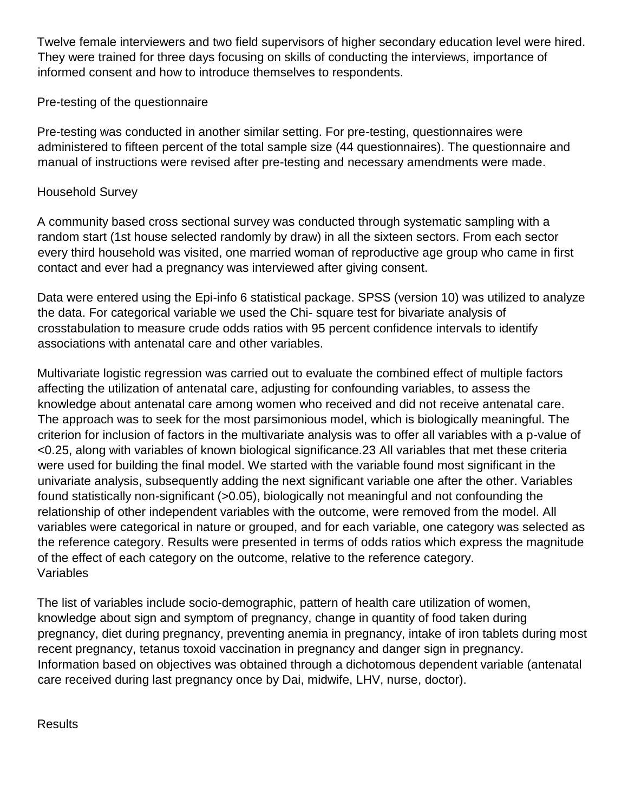Twelve female interviewers and two field supervisors of higher secondary education level were hired. They were trained for three days focusing on skills of conducting the interviews, importance of informed consent and how to introduce themselves to respondents.

# Pre-testing of the questionnaire

Pre-testing was conducted in another similar setting. For pre-testing, questionnaires were administered to fifteen percent of the total sample size (44 questionnaires). The questionnaire and manual of instructions were revised after pre-testing and necessary amendments were made.

#### Household Survey

A community based cross sectional survey was conducted through systematic sampling with a random start (1st house selected randomly by draw) in all the sixteen sectors. From each sector every third household was visited, one married woman of reproductive age group who came in first contact and ever had a pregnancy was interviewed after giving consent.

Data were entered using the Epi-info 6 statistical package. SPSS (version 10) was utilized to analyze the data. For categorical variable we used the Chi- square test for bivariate analysis of crosstabulation to measure crude odds ratios with 95 percent confidence intervals to identify associations with antenatal care and other variables.

Multivariate logistic regression was carried out to evaluate the combined effect of multiple factors affecting the utilization of antenatal care, adjusting for confounding variables, to assess the knowledge about antenatal care among women who received and did not receive antenatal care. The approach was to seek for the most parsimonious model, which is biologically meaningful. The criterion for inclusion of factors in the multivariate analysis was to offer all variables with a p-value of <0.25, along with variables of known biological significance.23 All variables that met these criteria were used for building the final model. We started with the variable found most significant in the univariate analysis, subsequently adding the next significant variable one after the other. Variables found statistically non-significant (>0.05), biologically not meaningful and not confounding the relationship of other independent variables with the outcome, were removed from the model. All variables were categorical in nature or grouped, and for each variable, one category was selected as the reference category. Results were presented in terms of odds ratios which express the magnitude of the effect of each category on the outcome, relative to the reference category. Variables

The list of variables include socio-demographic, pattern of health care utilization of women, knowledge about sign and symptom of pregnancy, change in quantity of food taken during pregnancy, diet during pregnancy, preventing anemia in pregnancy, intake of iron tablets during most recent pregnancy, tetanus toxoid vaccination in pregnancy and danger sign in pregnancy. Information based on objectives was obtained through a dichotomous dependent variable (antenatal care received during last pregnancy once by Dai, midwife, LHV, nurse, doctor).

#### **Results**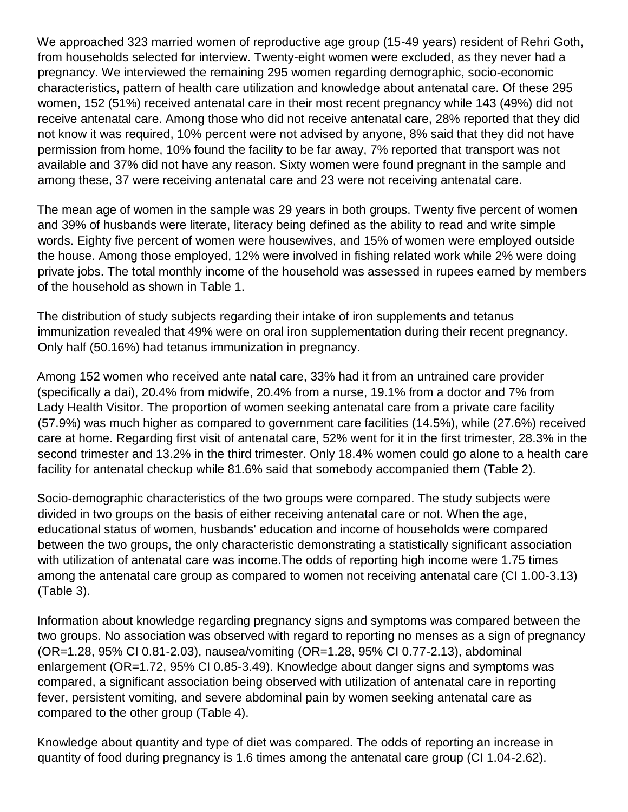We approached 323 married women of reproductive age group (15-49 years) resident of Rehri Goth, from households selected for interview. Twenty-eight women were excluded, as they never had a pregnancy. We interviewed the remaining 295 women regarding demographic, socio-economic characteristics, pattern of health care utilization and knowledge about antenatal care. Of these 295 women, 152 (51%) received antenatal care in their most recent pregnancy while 143 (49%) did not receive antenatal care. Among those who did not receive antenatal care, 28% reported that they did not know it was required, 10% percent were not advised by anyone, 8% said that they did not have permission from home, 10% found the facility to be far away, 7% reported that transport was not available and 37% did not have any reason. Sixty women were found pregnant in the sample and among these, 37 were receiving antenatal care and 23 were not receiving antenatal care.

The mean age of women in the sample was 29 years in both groups. Twenty five percent of women and 39% of husbands were literate, literacy being defined as the ability to read and write simple words. Eighty five percent of women were housewives, and 15% of women were employed outside the house. Among those employed, 12% were involved in fishing related work while 2% were doing private jobs. The total monthly income of the household was assessed in rupees earned by members of the household as shown in Table 1.

The distribution of study subjects regarding their intake of iron supplements and tetanus immunization revealed that 49% were on oral iron supplementation during their recent pregnancy. Only half (50.16%) had tetanus immunization in pregnancy.

Among 152 women who received ante natal care, 33% had it from an untrained care provider (specifically a dai), 20.4% from midwife, 20.4% from a nurse, 19.1% from a doctor and 7% from Lady Health Visitor. The proportion of women seeking antenatal care from a private care facility (57.9%) was much higher as compared to government care facilities (14.5%), while (27.6%) received care at home. Regarding first visit of antenatal care, 52% went for it in the first trimester, 28.3% in the second trimester and 13.2% in the third trimester. Only 18.4% women could go alone to a health care facility for antenatal checkup while 81.6% said that somebody accompanied them (Table 2).

Socio-demographic characteristics of the two groups were compared. The study subjects were divided in two groups on the basis of either receiving antenatal care or not. When the age, educational status of women, husbands' education and income of households were compared between the two groups, the only characteristic demonstrating a statistically significant association with utilization of antenatal care was income.The odds of reporting high income were 1.75 times among the antenatal care group as compared to women not receiving antenatal care (CI 1.00-3.13) (Table 3).

Information about knowledge regarding pregnancy signs and symptoms was compared between the two groups. No association was observed with regard to reporting no menses as a sign of pregnancy (OR=1.28, 95% CI 0.81-2.03), nausea/vomiting (OR=1.28, 95% CI 0.77-2.13), abdominal enlargement (OR=1.72, 95% CI 0.85-3.49). Knowledge about danger signs and symptoms was compared, a significant association being observed with utilization of antenatal care in reporting fever, persistent vomiting, and severe abdominal pain by women seeking antenatal care as compared to the other group (Table 4).

Knowledge about quantity and type of diet was compared. The odds of reporting an increase in quantity of food during pregnancy is 1.6 times among the antenatal care group (CI 1.04-2.62).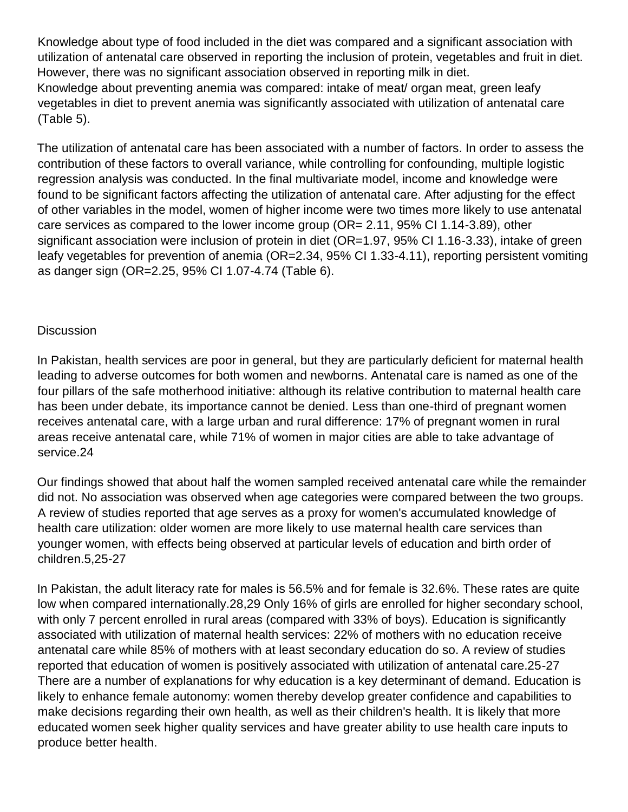Knowledge about type of food included in the diet was compared and a significant association with utilization of antenatal care observed in reporting the inclusion of protein, vegetables and fruit in diet. However, there was no significant association observed in reporting milk in diet. Knowledge about preventing anemia was compared: intake of meat/ organ meat, green leafy vegetables in diet to prevent anemia was significantly associated with utilization of antenatal care (Table 5).

The utilization of antenatal care has been associated with a number of factors. In order to assess the contribution of these factors to overall variance, while controlling for confounding, multiple logistic regression analysis was conducted. In the final multivariate model, income and knowledge were found to be significant factors affecting the utilization of antenatal care. After adjusting for the effect of other variables in the model, women of higher income were two times more likely to use antenatal care services as compared to the lower income group (OR= 2.11, 95% CI 1.14-3.89), other significant association were inclusion of protein in diet (OR=1.97, 95% CI 1.16-3.33), intake of green leafy vegetables for prevention of anemia (OR=2.34, 95% CI 1.33-4.11), reporting persistent vomiting as danger sign (OR=2.25, 95% CI 1.07-4.74 (Table 6).

## **Discussion**

In Pakistan, health services are poor in general, but they are particularly deficient for maternal health leading to adverse outcomes for both women and newborns. Antenatal care is named as one of the four pillars of the safe motherhood initiative: although its relative contribution to maternal health care has been under debate, its importance cannot be denied. Less than one-third of pregnant women receives antenatal care, with a large urban and rural difference: 17% of pregnant women in rural areas receive antenatal care, while 71% of women in major cities are able to take advantage of service.24

Our findings showed that about half the women sampled received antenatal care while the remainder did not. No association was observed when age categories were compared between the two groups. A review of studies reported that age serves as a proxy for women's accumulated knowledge of health care utilization: older women are more likely to use maternal health care services than younger women, with effects being observed at particular levels of education and birth order of children.5,25-27

In Pakistan, the adult literacy rate for males is 56.5% and for female is 32.6%. These rates are quite low when compared internationally.28,29 Only 16% of girls are enrolled for higher secondary school, with only 7 percent enrolled in rural areas (compared with 33% of boys). Education is significantly associated with utilization of maternal health services: 22% of mothers with no education receive antenatal care while 85% of mothers with at least secondary education do so. A review of studies reported that education of women is positively associated with utilization of antenatal care.25-27 There are a number of explanations for why education is a key determinant of demand. Education is likely to enhance female autonomy: women thereby develop greater confidence and capabilities to make decisions regarding their own health, as well as their children's health. It is likely that more educated women seek higher quality services and have greater ability to use health care inputs to produce better health.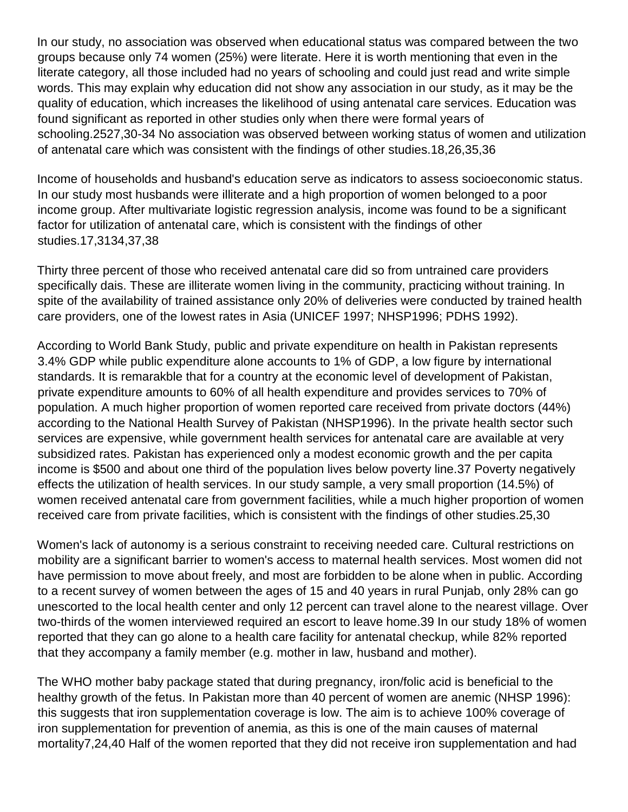In our study, no association was observed when educational status was compared between the two groups because only 74 women (25%) were literate. Here it is worth mentioning that even in the literate category, all those included had no years of schooling and could just read and write simple words. This may explain why education did not show any association in our study, as it may be the quality of education, which increases the likelihood of using antenatal care services. Education was found significant as reported in other studies only when there were formal years of schooling.2527,30-34 No association was observed between working status of women and utilization of antenatal care which was consistent with the findings of other studies.18,26,35,36

Income of households and husband's education serve as indicators to assess socioeconomic status. In our study most husbands were illiterate and a high proportion of women belonged to a poor income group. After multivariate logistic regression analysis, income was found to be a significant factor for utilization of antenatal care, which is consistent with the findings of other studies.17,3134,37,38

Thirty three percent of those who received antenatal care did so from untrained care providers specifically dais. These are illiterate women living in the community, practicing without training. In spite of the availability of trained assistance only 20% of deliveries were conducted by trained health care providers, one of the lowest rates in Asia (UNICEF 1997; NHSP1996; PDHS 1992).

According to World Bank Study, public and private expenditure on health in Pakistan represents 3.4% GDP while public expenditure alone accounts to 1% of GDP, a low figure by international standards. It is remarakble that for a country at the economic level of development of Pakistan, private expenditure amounts to 60% of all health expenditure and provides services to 70% of population. A much higher proportion of women reported care received from private doctors (44%) according to the National Health Survey of Pakistan (NHSP1996). In the private health sector such services are expensive, while government health services for antenatal care are available at very subsidized rates. Pakistan has experienced only a modest economic growth and the per capita income is \$500 and about one third of the population lives below poverty line.37 Poverty negatively effects the utilization of health services. In our study sample, a very small proportion (14.5%) of women received antenatal care from government facilities, while a much higher proportion of women received care from private facilities, which is consistent with the findings of other studies.25,30

Women's lack of autonomy is a serious constraint to receiving needed care. Cultural restrictions on mobility are a significant barrier to women's access to maternal health services. Most women did not have permission to move about freely, and most are forbidden to be alone when in public. According to a recent survey of women between the ages of 15 and 40 years in rural Punjab, only 28% can go unescorted to the local health center and only 12 percent can travel alone to the nearest village. Over two-thirds of the women interviewed required an escort to leave home.39 In our study 18% of women reported that they can go alone to a health care facility for antenatal checkup, while 82% reported that they accompany a family member (e.g. mother in law, husband and mother).

The WHO mother baby package stated that during pregnancy, iron/folic acid is beneficial to the healthy growth of the fetus. In Pakistan more than 40 percent of women are anemic (NHSP 1996): this suggests that iron supplementation coverage is low. The aim is to achieve 100% coverage of iron supplementation for prevention of anemia, as this is one of the main causes of maternal mortality7,24,40 Half of the women reported that they did not receive iron supplementation and had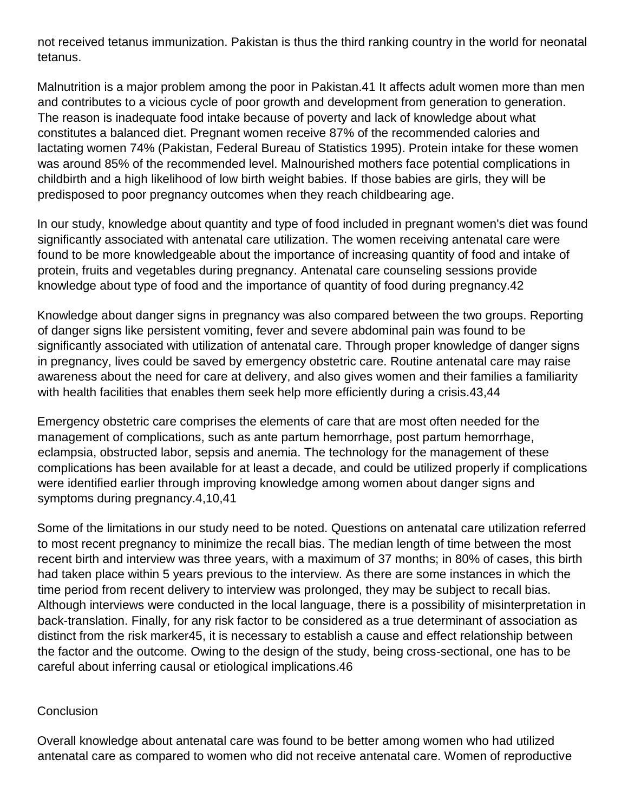not received tetanus immunization. Pakistan is thus the third ranking country in the world for neonatal tetanus.

Malnutrition is a major problem among the poor in Pakistan.41 It affects adult women more than men and contributes to a vicious cycle of poor growth and development from generation to generation. The reason is inadequate food intake because of poverty and lack of knowledge about what constitutes a balanced diet. Pregnant women receive 87% of the recommended calories and lactating women 74% (Pakistan, Federal Bureau of Statistics 1995). Protein intake for these women was around 85% of the recommended level. Malnourished mothers face potential complications in childbirth and a high likelihood of low birth weight babies. If those babies are girls, they will be predisposed to poor pregnancy outcomes when they reach childbearing age.

In our study, knowledge about quantity and type of food included in pregnant women's diet was found significantly associated with antenatal care utilization. The women receiving antenatal care were found to be more knowledgeable about the importance of increasing quantity of food and intake of protein, fruits and vegetables during pregnancy. Antenatal care counseling sessions provide knowledge about type of food and the importance of quantity of food during pregnancy.42

Knowledge about danger signs in pregnancy was also compared between the two groups. Reporting of danger signs like persistent vomiting, fever and severe abdominal pain was found to be significantly associated with utilization of antenatal care. Through proper knowledge of danger signs in pregnancy, lives could be saved by emergency obstetric care. Routine antenatal care may raise awareness about the need for care at delivery, and also gives women and their families a familiarity with health facilities that enables them seek help more efficiently during a crisis.43,44

Emergency obstetric care comprises the elements of care that are most often needed for the management of complications, such as ante partum hemorrhage, post partum hemorrhage, eclampsia, obstructed labor, sepsis and anemia. The technology for the management of these complications has been available for at least a decade, and could be utilized properly if complications were identified earlier through improving knowledge among women about danger signs and symptoms during pregnancy.4,10,41

Some of the limitations in our study need to be noted. Questions on antenatal care utilization referred to most recent pregnancy to minimize the recall bias. The median length of time between the most recent birth and interview was three years, with a maximum of 37 months; in 80% of cases, this birth had taken place within 5 years previous to the interview. As there are some instances in which the time period from recent delivery to interview was prolonged, they may be subject to recall bias. Although interviews were conducted in the local language, there is a possibility of misinterpretation in back-translation. Finally, for any risk factor to be considered as a true determinant of association as distinct from the risk marker45, it is necessary to establish a cause and effect relationship between the factor and the outcome. Owing to the design of the study, being cross-sectional, one has to be careful about inferring causal or etiological implications.46

#### **Conclusion**

Overall knowledge about antenatal care was found to be better among women who had utilized antenatal care as compared to women who did not receive antenatal care. Women of reproductive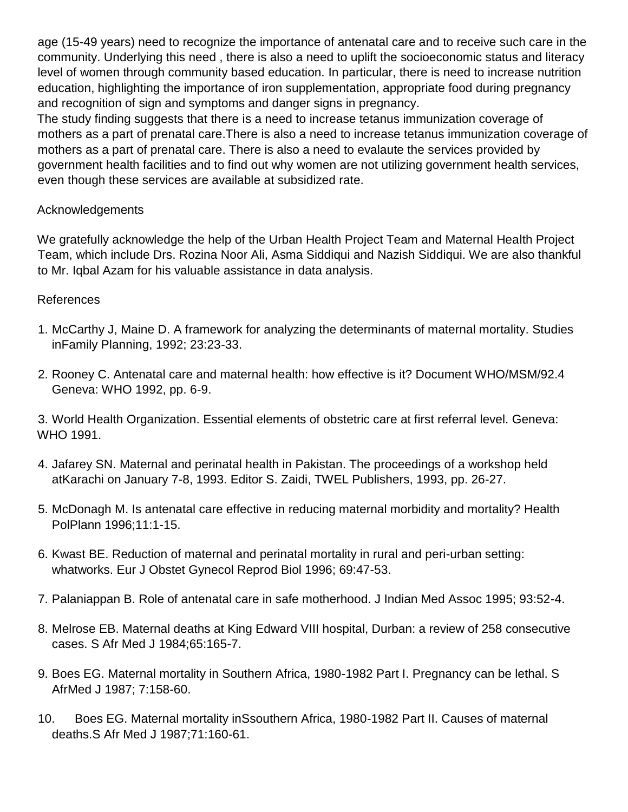age (15-49 years) need to recognize the importance of antenatal care and to receive such care in the community. Underlying this need , there is also a need to uplift the socioeconomic status and literacy level of women through community based education. In particular, there is need to increase nutrition education, highlighting the importance of iron supplementation, appropriate food during pregnancy and recognition of sign and symptoms and danger signs in pregnancy.

The study finding suggests that there is a need to increase tetanus immunization coverage of mothers as a part of prenatal care.There is also a need to increase tetanus immunization coverage of mothers as a part of prenatal care. There is also a need to evalaute the services provided by government health facilities and to find out why women are not utilizing government health services, even though these services are available at subsidized rate.

# Acknowledgements

We gratefully acknowledge the help of the Urban Health Project Team and Maternal Health Project Team, which include Drs. Rozina Noor Ali, Asma Siddiqui and Nazish Siddiqui. We are also thankful to Mr. Iqbal Azam for his valuable assistance in data analysis.

## References

- 1. McCarthy J, Maine D. A framework for analyzing the determinants of maternal mortality. Studies inFamily Planning, 1992; 23:23-33.
- 2. Rooney C. Antenatal care and maternal health: how effective is it? Document WHO/MSM/92.4 Geneva: WHO 1992, pp. 6-9.

3. World Health Organization. Essential elements of obstetric care at first referral level. Geneva: WHO 1991.

- 4. Jafarey SN. Maternal and perinatal health in Pakistan. The proceedings of a workshop held atKarachi on January 7-8, 1993. Editor S. Zaidi, TWEL Publishers, 1993, pp. 26-27.
- 5. McDonagh M. Is antenatal care effective in reducing maternal morbidity and mortality? Health PolPlann 1996;11:1-15.
- 6. Kwast BE. Reduction of maternal and perinatal mortality in rural and peri-urban setting: whatworks. Eur J Obstet Gynecol Reprod Biol 1996; 69:47-53.
- 7. Palaniappan B. Role of antenatal care in safe motherhood. J Indian Med Assoc 1995; 93:52-4.
- 8. Melrose EB. Maternal deaths at King Edward VIII hospital, Durban: a review of 258 consecutive cases. S Afr Med J 1984;65:165-7.
- 9. Boes EG. Maternal mortality in Southern Africa, 1980-1982 Part I. Pregnancy can be lethal. S AfrMed J 1987; 7:158-60.
- 10. Boes EG. Maternal mortality inSsouthern Africa, 1980-1982 Part II. Causes of maternal deaths.S Afr Med J 1987;71:160-61.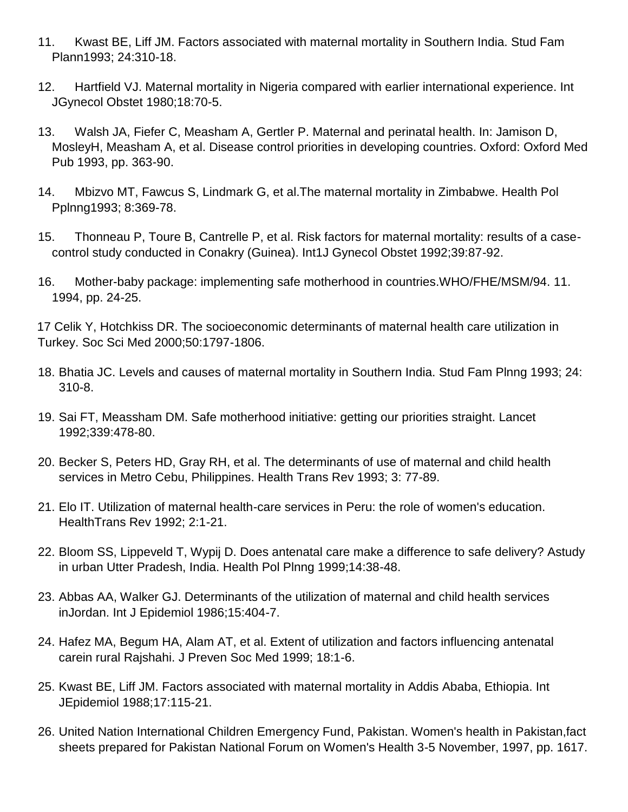- 11. Kwast BE, Liff JM. Factors associated with maternal mortality in Southern India. Stud Fam Plann1993; 24:310-18.
- 12. Hartfield VJ. Maternal mortality in Nigeria compared with earlier international experience. Int JGynecol Obstet 1980;18:70-5.
- 13. Walsh JA, Fiefer C, Measham A, Gertler P. Maternal and perinatal health. In: Jamison D, MosleyH, Measham A, et al. Disease control priorities in developing countries. Oxford: Oxford Med Pub 1993, pp. 363-90.
- 14. Mbizvo MT, Fawcus S, Lindmark G, et al.The maternal mortality in Zimbabwe. Health Pol Pplnng1993; 8:369-78.
- 15. Thonneau P, Toure B, Cantrelle P, et al. Risk factors for maternal mortality: results of a casecontrol study conducted in Conakry (Guinea). Int1J Gynecol Obstet 1992;39:87-92.
- 16. Mother-baby package: implementing safe motherhood in countries.WHO/FHE/MSM/94. 11. 1994, pp. 24-25.

17 Celik Y, Hotchkiss DR. The socioeconomic determinants of maternal health care utilization in Turkey. Soc Sci Med 2000;50:1797-1806.

- 18. Bhatia JC. Levels and causes of maternal mortality in Southern India. Stud Fam Plnng 1993; 24: 310-8.
- 19. Sai FT, Meassham DM. Safe motherhood initiative: getting our priorities straight. Lancet 1992;339:478-80.
- 20. Becker S, Peters HD, Gray RH, et al. The determinants of use of maternal and child health services in Metro Cebu, Philippines. Health Trans Rev 1993; 3: 77-89.
- 21. Elo IT. Utilization of maternal health-care services in Peru: the role of women's education. HealthTrans Rev 1992; 2:1-21.
- 22. Bloom SS, Lippeveld T, Wypij D. Does antenatal care make a difference to safe delivery? Astudy in urban Utter Pradesh, India. Health Pol Plnng 1999;14:38-48.
- 23. Abbas AA, Walker GJ. Determinants of the utilization of maternal and child health services inJordan. Int J Epidemiol 1986;15:404-7.
- 24. Hafez MA, Begum HA, Alam AT, et al. Extent of utilization and factors influencing antenatal carein rural Rajshahi. J Preven Soc Med 1999; 18:1-6.
- 25. Kwast BE, Liff JM. Factors associated with maternal mortality in Addis Ababa, Ethiopia. Int JEpidemiol 1988;17:115-21.
- 26. United Nation International Children Emergency Fund, Pakistan. Women's health in Pakistan,fact sheets prepared for Pakistan National Forum on Women's Health 3-5 November, 1997, pp. 1617.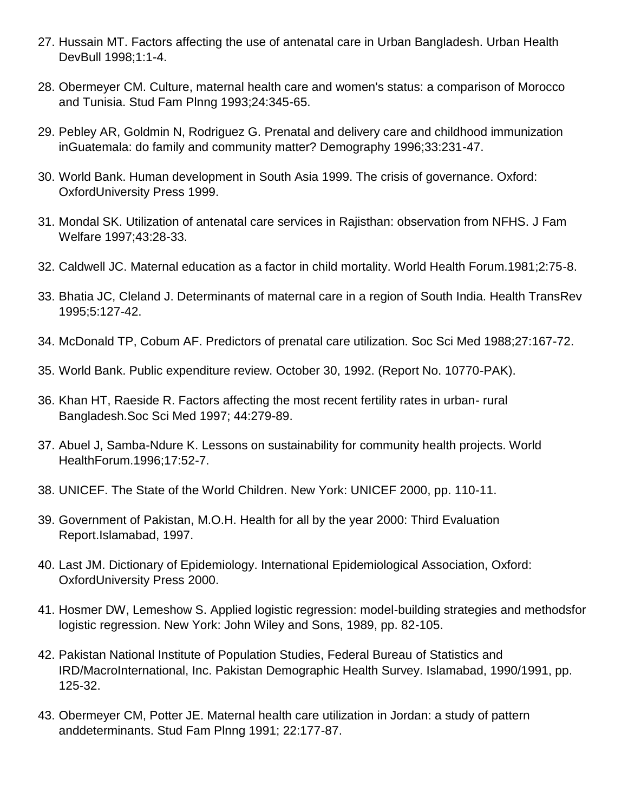- 27. Hussain MT. Factors affecting the use of antenatal care in Urban Bangladesh. Urban Health DevBull 1998;1:1-4.
- 28. Obermeyer CM. Culture, maternal health care and women's status: a comparison of Morocco and Tunisia. Stud Fam Plnng 1993;24:345-65.
- 29. Pebley AR, Goldmin N, Rodriguez G. Prenatal and delivery care and childhood immunization inGuatemala: do family and community matter? Demography 1996;33:231-47.
- 30. World Bank. Human development in South Asia 1999. The crisis of governance. Oxford: OxfordUniversity Press 1999.
- 31. Mondal SK. Utilization of antenatal care services in Rajisthan: observation from NFHS. J Fam Welfare 1997;43:28-33.
- 32. Caldwell JC. Maternal education as a factor in child mortality. World Health Forum.1981;2:75-8.
- 33. Bhatia JC, Cleland J. Determinants of maternal care in a region of South India. Health TransRev 1995;5:127-42.
- 34. McDonald TP, Cobum AF. Predictors of prenatal care utilization. Soc Sci Med 1988;27:167-72.
- 35. World Bank. Public expenditure review. October 30, 1992. (Report No. 10770-PAK).
- 36. Khan HT, Raeside R. Factors affecting the most recent fertility rates in urban- rural Bangladesh.Soc Sci Med 1997; 44:279-89.
- 37. Abuel J, Samba-Ndure K. Lessons on sustainability for community health projects. World HealthForum.1996;17:52-7.
- 38. UNICEF. The State of the World Children. New York: UNICEF 2000, pp. 110-11.
- 39. Government of Pakistan, M.O.H. Health for all by the year 2000: Third Evaluation Report.Islamabad, 1997.
- 40. Last JM. Dictionary of Epidemiology. International Epidemiological Association, Oxford: OxfordUniversity Press 2000.
- 41. Hosmer DW, Lemeshow S. Applied logistic regression: model-building strategies and methodsfor logistic regression. New York: John Wiley and Sons, 1989, pp. 82-105.
- 42. Pakistan National Institute of Population Studies, Federal Bureau of Statistics and IRD/MacroInternational, Inc. Pakistan Demographic Health Survey. Islamabad, 1990/1991, pp. 125-32.
- 43. Obermeyer CM, Potter JE. Maternal health care utilization in Jordan: a study of pattern anddeterminants. Stud Fam Plnng 1991; 22:177-87.